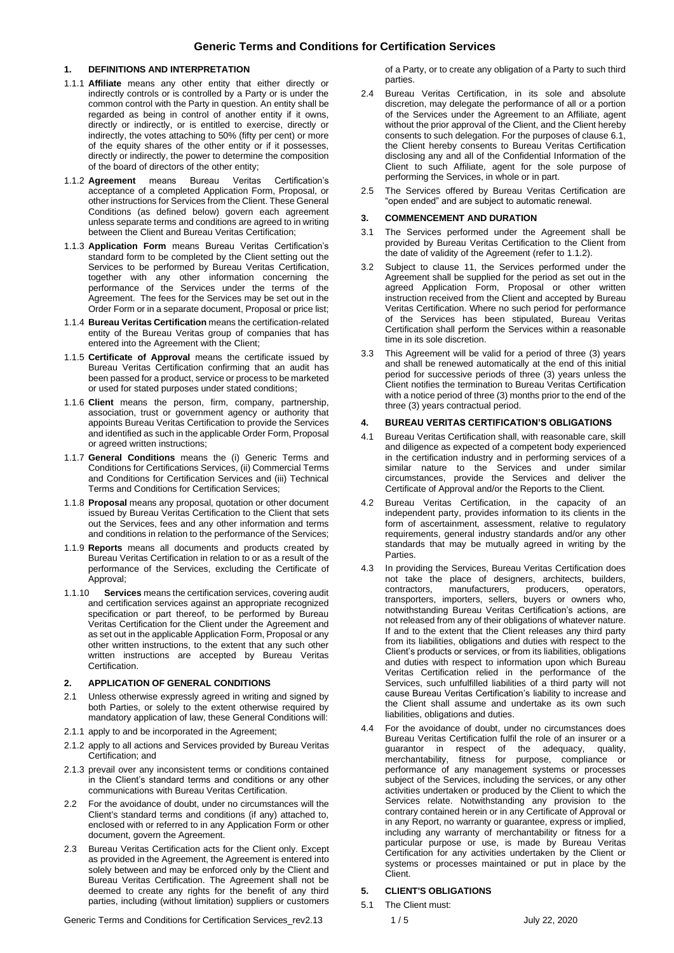#### **1. DEFINITIONS AND INTERPRETATION**

- 1.1.1 **Affiliate** means any other entity that either directly or indirectly controls or is controlled by a Party or is under the common control with the Party in question. An entity shall be regarded as being in control of another entity if it owns, directly or indirectly, or is entitled to exercise, directly or indirectly, the votes attaching to 50% (fifty per cent) or more of the equity shares of the other entity or if it possesses, directly or indirectly, the power to determine the composition of the board of directors of the other entity;
- 1.1.2 **Agreement** means Bureau Veritas Certification's acceptance of a completed Application Form, Proposal, or other instructions for Services from the Client. These General Conditions (as defined below) govern each agreement unless separate terms and conditions are agreed to in writing between the Client and Bureau Veritas Certification;
- 1.1.3 **Application Form** means Bureau Veritas Certification's standard form to be completed by the Client setting out the Services to be performed by Bureau Veritas Certification, together with any other information concerning the performance of the Services under the terms of the Agreement. The fees for the Services may be set out in the Order Form or in a separate document, Proposal or price list;
- 1.1.4 **Bureau Veritas Certification** means the certification-related entity of the Bureau Veritas group of companies that has entered into the Agreement with the Client;
- 1.1.5 **Certificate of Approval** means the certificate issued by Bureau Veritas Certification confirming that an audit has been passed for a product, service or process to be marketed or used for stated purposes under stated conditions;
- 1.1.6 **Client** means the person, firm, company, partnership, association, trust or government agency or authority that appoints Bureau Veritas Certification to provide the Services and identified as such in the applicable Order Form, Proposal or agreed written instructions;
- 1.1.7 **General Conditions** means the (i) Generic Terms and Conditions for Certifications Services, (ii) Commercial Terms and Conditions for Certification Services and (iii) Technical Terms and Conditions for Certification Services;
- 1.1.8 **Proposal** means any proposal, quotation or other document issued by Bureau Veritas Certification to the Client that sets out the Services, fees and any other information and terms and conditions in relation to the performance of the Services;
- 1.1.9 **Reports** means all documents and products created by Bureau Veritas Certification in relation to or as a result of the performance of the Services, excluding the Certificate of Approval;
- 1.1.10 **Services** means the certification services, covering audit and certification services against an appropriate recognized specification or part thereof, to be performed by Bureau Veritas Certification for the Client under the Agreement and as set out in the applicable Application Form, Proposal or any other written instructions, to the extent that any such other written instructions are accepted by Bureau Veritas Certification.

#### **2. APPLICATION OF GENERAL CONDITIONS**

- 2.1 Unless otherwise expressly agreed in writing and signed by both Parties, or solely to the extent otherwise required by mandatory application of law, these General Conditions will:
- 2.1.1 apply to and be incorporated in the Agreement;
- 2.1.2 apply to all actions and Services provided by Bureau Veritas Certification; and
- 2.1.3 prevail over any inconsistent terms or conditions contained in the Client's standard terms and conditions or any other communications with Bureau Veritas Certification.
- 2.2 For the avoidance of doubt, under no circumstances will the Client's standard terms and conditions (if any) attached to, enclosed with or referred to in any Application Form or other document, govern the Agreement.
- 2.3 Bureau Veritas Certification acts for the Client only. Except as provided in the Agreement, the Agreement is entered into solely between and may be enforced only by the Client and Bureau Veritas Certification. The Agreement shall not be deemed to create any rights for the benefit of any third parties, including (without limitation) suppliers or customers

Generic Terms and Conditions for Certification Services\_rev2.13 1/5 July 22, 2020

of a Party, or to create any obligation of a Party to such third parties.

- 2.4 Bureau Veritas Certification, in its sole and absolute discretion, may delegate the performance of all or a portion of the Services under the Agreement to an Affiliate, agent without the prior approval of the Client, and the Client hereby consents to such delegation. For the purposes of claus[e 6.1,](#page-1-0)  the Client hereby consents to Bureau Veritas Certification disclosing any and all of the Confidential Information of the Client to such Affiliate, agent for the sole purpose of performing the Services, in whole or in part.
- 2.5 The Services offered by Bureau Veritas Certification are "open ended" and are subject to automatic renewal.

#### **3. COMMENCEMENT AND DURATION**

- 3.1 The Services performed under the Agreement shall be provided by Bureau Veritas Certification to the Client from the date of validity of the Agreement (refer to 1.1.2).
- 3.2 Subject to clause 11, the Services performed under the Agreement shall be supplied for the period as set out in the agreed Application Form, Proposal or other written instruction received from the Client and accepted by Bureau Veritas Certification. Where no such period for performance of the Services has been stipulated, Bureau Veritas Certification shall perform the Services within a reasonable time in its sole discretion.
- 3.3 This Agreement will be valid for a period of three (3) years and shall be renewed automatically at the end of this initial period for successive periods of three (3) years unless the Client notifies the termination to Bureau Veritas Certification with a notice period of three (3) months prior to the end of the three (3) years contractual period.

#### **4. BUREAU VERITAS CERTIFICATION'S OBLIGATIONS**

- 4.1 Bureau Veritas Certification shall, with reasonable care, skill and diligence as expected of a competent body experienced in the certification industry and in performing services of a similar nature to the Services and under similar circumstances, provide the Services and deliver the Certificate of Approval and/or the Reports to the Client.
- 4.2 Bureau Veritas Certification, in the capacity of an independent party, provides information to its clients in the form of ascertainment, assessment, relative to regulatory requirements, general industry standards and/or any other standards that may be mutually agreed in writing by the **Parties**
- 4.3 In providing the Services, Bureau Veritas Certification does not take the place of designers, architects, builders, contractors, manufacturers, producers, operators. contractors, manufacturers, producers, operators, transporters, importers, sellers, buyers or owners who, notwithstanding Bureau Veritas Certification's actions, are not released from any of their obligations of whatever nature. If and to the extent that the Client releases any third party from its liabilities, obligations and duties with respect to the Client's products or services, or from its liabilities, obligations and duties with respect to information upon which Bureau Veritas Certification relied in the performance of the Services, such unfulfilled liabilities of a third party will not cause Bureau Veritas Certification's liability to increase and the Client shall assume and undertake as its own such liabilities, obligations and duties.
- 4.4 For the avoidance of doubt, under no circumstances does Bureau Veritas Certification fulfil the role of an insurer or a guarantor in respect of the adequacy, quality, in respect of the adequacy, quality, merchantability, fitness for purpose, compliance or performance of any management systems or processes subject of the Services, including the services, or any other activities undertaken or produced by the Client to which the Services relate. Notwithstanding any provision to the contrary contained herein or in any Certificate of Approval or in any Report, no warranty or guarantee, express or implied, including any warranty of merchantability or fitness for a particular purpose or use, is made by Bureau Veritas Certification for any activities undertaken by the Client or systems or processes maintained or put in place by the Client.

### **5. CLIENT'S OBLIGATIONS**

5.1 The Client must: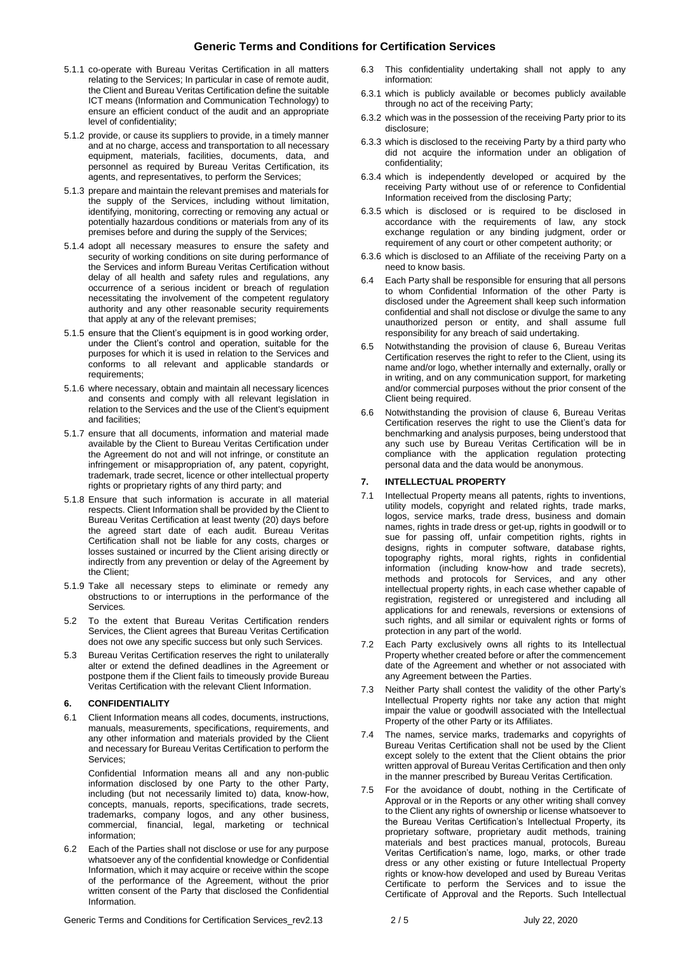# **Generic Terms and Conditions for Certification Services**

- 5.1.1 co-operate with Bureau Veritas Certification in all matters relating to the Services; In particular in case of remote audit, the Client and Bureau Veritas Certification define the suitable ICT means (Information and Communication Technology) to ensure an efficient conduct of the audit and an appropriate level of confidentiality;
- 5.1.2 provide, or cause its suppliers to provide, in a timely manner and at no charge, access and transportation to all necessary equipment, materials, facilities, documents, data, and personnel as required by Bureau Veritas Certification, its agents, and representatives, to perform the Services;
- 5.1.3 prepare and maintain the relevant premises and materials for the supply of the Services, including without limitation, identifying, monitoring, correcting or removing any actual or potentially hazardous conditions or materials from any of its premises before and during the supply of the Services;
- 5.1.4 adopt all necessary measures to ensure the safety and security of working conditions on site during performance of the Services and inform Bureau Veritas Certification without delay of all health and safety rules and regulations, any occurrence of a serious incident or breach of regulation necessitating the involvement of the competent regulatory authority and any other reasonable security requirements that apply at any of the relevant premises;
- 5.1.5 ensure that the Client's equipment is in good working order, under the Client's control and operation, suitable for the purposes for which it is used in relation to the Services and conforms to all relevant and applicable standards or requirements;
- 5.1.6 where necessary, obtain and maintain all necessary licences and consents and comply with all relevant legislation in relation to the Services and the use of the Client's equipment and facilities;
- 5.1.7 ensure that all documents, information and material made available by the Client to Bureau Veritas Certification under the Agreement do not and will not infringe, or constitute an infringement or misappropriation of, any patent, copyright, trademark, trade secret, licence or other intellectual property rights or proprietary rights of any third party; and
- 5.1.8 Ensure that such information is accurate in all material respects. Client Information shall be provided by the Client to Bureau Veritas Certification at least twenty (20) days before the agreed start date of each audit. Bureau Veritas Certification shall not be liable for any costs, charges or losses sustained or incurred by the Client arising directly or indirectly from any prevention or delay of the Agreement by the Client;
- 5.1.9 Take all necessary steps to eliminate or remedy any obstructions to or interruptions in the performance of the Services*.*
- 5.2 To the extent that Bureau Veritas Certification renders Services, the Client agrees that Bureau Veritas Certification does not owe any specific success but only such Services.
- 5.3 Bureau Veritas Certification reserves the right to unilaterally alter or extend the defined deadlines in the Agreement or postpone them if the Client fails to timeously provide Bureau Veritas Certification with the relevant Client Information.

### **6. CONFIDENTIALITY**

<span id="page-1-0"></span>6.1 Client Information means all codes, documents, instructions, manuals, measurements, specifications, requirements, and any other information and materials provided by the Client and necessary for Bureau Veritas Certification to perform the Services;

Confidential Information means all and any non-public information disclosed by one Party to the other Party, including (but not necessarily limited to) data, know-how, concepts, manuals, reports, specifications, trade secrets, trademarks, company logos, and any other business, commercial, financial, legal, marketing or technical information;

6.2 Each of the Parties shall not disclose or use for any purpose whatsoever any of the confidential knowledge or Confidential Information, which it may acquire or receive within the scope of the performance of the Agreement, without the prior written consent of the Party that disclosed the Confidential Information.

- 6.3 This confidentiality undertaking shall not apply to any information:
- 6.3.1 which is publicly available or becomes publicly available through no act of the receiving Party;
- 6.3.2 which was in the possession of the receiving Party prior to its disclosure;
- 6.3.3 which is disclosed to the receiving Party by a third party who did not acquire the information under an obligation of confidentiality;
- 6.3.4 which is independently developed or acquired by the receiving Party without use of or reference to Confidential Information received from the disclosing Party;
- 6.3.5 which is disclosed or is required to be disclosed in accordance with the requirements of law, any stock exchange regulation or any binding judgment, order or requirement of any court or other competent authority; or
- 6.3.6 which is disclosed to an Affiliate of the receiving Party on a need to know basis.
- 6.4 Each Party shall be responsible for ensuring that all persons to whom Confidential Information of the other Party is disclosed under the Agreement shall keep such information confidential and shall not disclose or divulge the same to any unauthorized person or entity, and shall assume full responsibility for any breach of said undertaking.
- 6.5 Notwithstanding the provision of clause 6, Bureau Veritas Certification reserves the right to refer to the Client, using its name and/or logo, whether internally and externally, orally or in writing, and on any communication support, for marketing and/or commercial purposes without the prior consent of the Client being required.
- 6.6 Notwithstanding the provision of clause 6, Bureau Veritas Certification reserves the right to use the Client's data for benchmarking and analysis purposes, being understood that any such use by Bureau Veritas Certification will be in compliance with the application regulation protecting personal data and the data would be anonymous.

### **7. INTELLECTUAL PROPERTY**

- 7.1 Intellectual Property means all patents, rights to inventions, utility models, copyright and related rights, trade marks, logos, service marks, trade dress, business and domain names, rights in trade dress or get-up, rights in goodwill or to sue for passing off, unfair competition rights, rights in designs, rights in computer software, database rights, topography rights, moral rights, rights in confidential information (including know-how and trade secrets), methods and protocols for Services, and any other intellectual property rights, in each case whether capable of registration, registered or unregistered and including all applications for and renewals, reversions or extensions of such rights, and all similar or equivalent rights or forms of protection in any part of the world.
- 7.2 Each Party exclusively owns all rights to its Intellectual Property whether created before or after the commencement date of the Agreement and whether or not associated with any Agreement between the Parties.
- 7.3 Neither Party shall contest the validity of the other Party's Intellectual Property rights nor take any action that might impair the value or goodwill associated with the Intellectual Property of the other Party or its Affiliates.
- 7.4 The names, service marks, trademarks and copyrights of Bureau Veritas Certification shall not be used by the Client except solely to the extent that the Client obtains the prior written approval of Bureau Veritas Certification and then only in the manner prescribed by Bureau Veritas Certification.
- 7.5 For the avoidance of doubt, nothing in the Certificate of Approval or in the Reports or any other writing shall convey to the Client any rights of ownership or license whatsoever to the Bureau Veritas Certification's Intellectual Property, its proprietary software, proprietary audit methods, training materials and best practices manual, protocols, Bureau Veritas Certification's name, logo, marks, or other trade dress or any other existing or future Intellectual Property rights or know-how developed and used by Bureau Veritas Certificate to perform the Services and to issue the Certificate of Approval and the Reports. Such Intellectual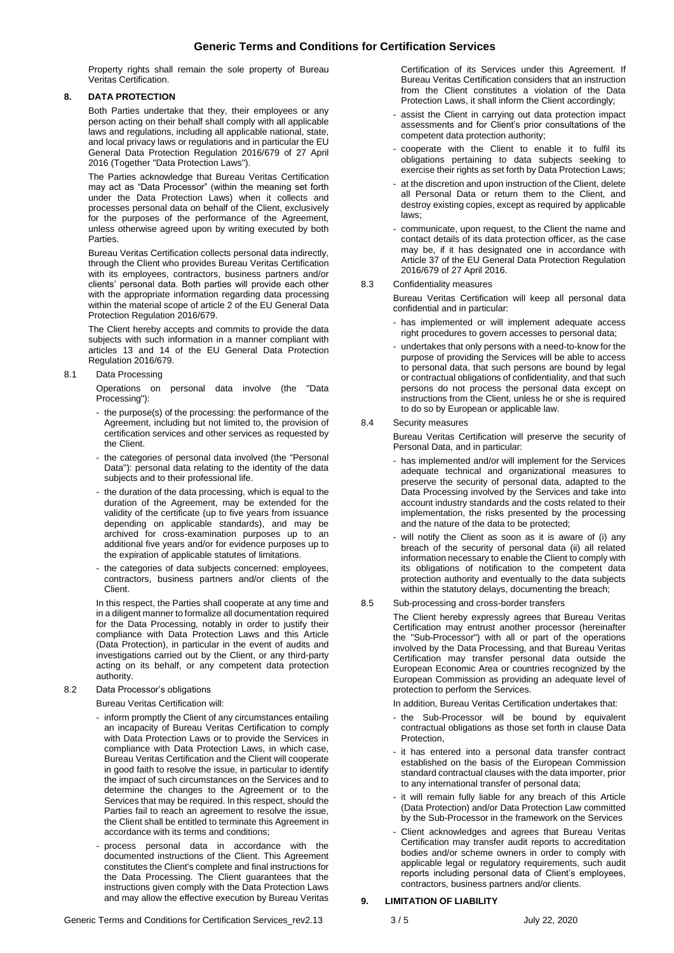Property rights shall remain the sole property of Bureau Veritas Certification.

## **8. DATA PROTECTION**

Both Parties undertake that they, their employees or any person acting on their behalf shall comply with all applicable laws and regulations, including all applicable national, state, and local privacy laws or regulations and in particular the EU General Data Protection Regulation 2016/679 of 27 April 2016 (Together "Data Protection Laws").

The Parties acknowledge that Bureau Veritas Certification may act as "Data Processor" (within the meaning set forth under the Data Protection Laws) when it collects and processes personal data on behalf of the Client, exclusively for the purposes of the performance of the Agreement, unless otherwise agreed upon by writing executed by both Parties.

Bureau Veritas Certification collects personal data indirectly, through the Client who provides Bureau Veritas Certification with its employees, contractors, business partners and/or clients' personal data. Both parties will provide each other with the appropriate information regarding data processing within the material scope of article 2 of the EU General Data Protection Regulation 2016/679.

The Client hereby accepts and commits to provide the data subjects with such information in a manner compliant with articles 13 and 14 of the EU General Data Protection Regulation 2016/679.

#### 8.1 Data Processing

Operations on personal data involve (the "Data Processing")

- the purpose(s) of the processing: the performance of the Agreement, including but not limited to, the provision of certification services and other services as requested by the Client.
- the categories of personal data involved (the "Personal Data"): personal data relating to the identity of the data subjects and to their professional life.
- the duration of the data processing, which is equal to the duration of the Agreement, may be extended for the validity of the certificate (up to five years from issuance depending on applicable standards), and may be archived for cross-examination purposes up to an additional five years and/or for evidence purposes up to the expiration of applicable statutes of limitations.
- the categories of data subjects concerned: employees, contractors, business partners and/or clients of the Client.

In this respect, the Parties shall cooperate at any time and in a diligent manner to formalize all documentation required for the Data Processing, notably in order to justify their compliance with Data Protection Laws and this Article (Data Protection), in particular in the event of audits and investigations carried out by the Client, or any third-party acting on its behalf, or any competent data protection authority.

## 8.2 Data Processor's obligations

Bureau Veritas Certification will:

- inform promptly the Client of any circumstances entailing an incapacity of Bureau Veritas Certification to comply with Data Protection Laws or to provide the Services in compliance with Data Protection Laws, in which case, Bureau Veritas Certification and the Client will cooperate in good faith to resolve the issue, in particular to identify the impact of such circumstances on the Services and to determine the changes to the Agreement or to the Services that may be required. In this respect, should the Parties fail to reach an agreement to resolve the issue, the Client shall be entitled to terminate this Agreement in accordance with its terms and conditions;
- process personal data in accordance with the documented instructions of the Client. This Agreement constitutes the Client's complete and final instructions for the Data Processing. The Client guarantees that the instructions given comply with the Data Protection Laws and may allow the effective execution by Bureau Veritas

Certification of its Services under this Agreement. If Bureau Veritas Certification considers that an instruction from the Client constitutes a violation of the Data Protection Laws, it shall inform the Client accordingly;

- assist the Client in carrying out data protection impact assessments and for Client's prior consultations of the competent data protection authority;
- cooperate with the Client to enable it to fulfil its obligations pertaining to data subjects seeking to exercise their rights as set forth by Data Protection Laws;
- at the discretion and upon instruction of the Client, delete all Personal Data or return them to the Client, and destroy existing copies, except as required by applicable laws;
- communicate, upon request, to the Client the name and contact details of its data protection officer, as the case may be, if it has designated one in accordance with Article 37 of the EU General Data Protection Regulation 2016/679 of 27 April 2016.

#### 8.3 Confidentiality measures

Bureau Veritas Certification will keep all personal data confidential and in particular:

- has implemented or will implement adequate access right procedures to govern accesses to personal data;
- undertakes that only persons with a need-to-know for the purpose of providing the Services will be able to access to personal data, that such persons are bound by legal or contractual obligations of confidentiality, and that such persons do not process the personal data except on instructions from the Client, unless he or she is required to do so by European or applicable law.

### 8.4 Security measures

Bureau Veritas Certification will preserve the security of Personal Data, and in particular:

- has implemented and/or will implement for the Services adequate technical and organizational measures to preserve the security of personal data, adapted to the Data Processing involved by the Services and take into account industry standards and the costs related to their implementation, the risks presented by the processing and the nature of the data to be protected;
- will notify the Client as soon as it is aware of (i) any breach of the security of personal data (ii) all related information necessary to enable the Client to comply with its obligations of notification to the competent data protection authority and eventually to the data subjects within the statutory delays, documenting the breach;

#### 8.5 Sub-processing and cross-border transfers

The Client hereby expressly agrees that Bureau Veritas Certification may entrust another processor (hereinafter the "Sub-Processor") with all or part of the operations involved by the Data Processing, and that Bureau Veritas Certification may transfer personal data outside the European Economic Area or countries recognized by the European Commission as providing an adequate level of protection to perform the Services.

In addition, Bureau Veritas Certification undertakes that:

- the Sub-Processor will be bound by equivalent contractual obligations as those set forth in clause Data Protection,
- it has entered into a personal data transfer contract established on the basis of the European Commission standard contractual clauses with the data importer, prior to any international transfer of personal data;
- it will remain fully liable for any breach of this Article (Data Protection) and/or Data Protection Law committed by the Sub-Processor in the framework on the Services
- Client acknowledges and agrees that Bureau Veritas Certification may transfer audit reports to accreditation bodies and/or scheme owners in order to comply with applicable legal or regulatory requirements, such audit reports including personal data of Client's employees, contractors, business partners and/or clients.

### **9. LIMITATION OF LIABILITY**

Generic Terms and Conditions for Certification Services\_rev2.13 3/5 July 22, 2020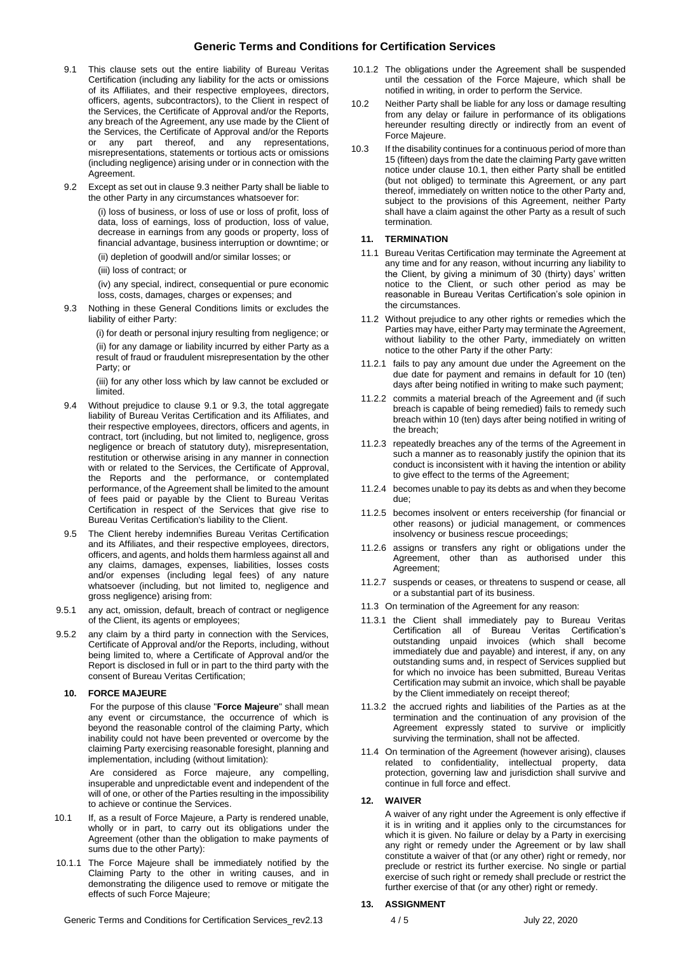# **Generic Terms and Conditions for Certification Services**

- <span id="page-3-0"></span>9.1 This clause sets out the entire liability of Bureau Veritas Certification (including any liability for the acts or omissions of its Affiliates, and their respective employees, directors, officers, agents, subcontractors), to the Client in respect of the Services, the Certificate of Approval and/or the Reports, any breach of the Agreement, any use made by the Client of the Services, the Certificate of Approval and/or the Reports or any part thereof, and any representations, misrepresentations, statements or tortious acts or omissions (including negligence) arising under or in connection with the Agreement.
- 9.2 Except as set out in clause 9.3 neither Party shall be liable to the other Party in any circumstances whatsoever for:

(i) loss of business, or loss of use or loss of profit, loss of data, loss of earnings, loss of production, loss of value, decrease in earnings from any goods or property, loss of financial advantage, business interruption or downtime; or (ii) depletion of goodwill and/or similar losses; or

(iii) loss of contract; or

(iv) any special, indirect, consequential or pure economic loss, costs, damages, charges or expenses; and

9.3 Nothing in these General Conditions limits or excludes the liability of either Party:

> (i) for death or personal injury resulting from negligence; or (ii) for any damage or liability incurred by either Party as a result of fraud or fraudulent misrepresentation by the other Party; or

> (iii) for any other loss which by law cannot be excluded or limited.

- 9.4 Without prejudice to clause [9.1](#page-3-0) or 9.3, the total aggregate liability of Bureau Veritas Certification and its Affiliates, and their respective employees, directors, officers and agents, in contract, tort (including, but not limited to, negligence, gross negligence or breach of statutory duty), misrepresentation, restitution or otherwise arising in any manner in connection with or related to the Services, the Certificate of Approval, the Reports and the performance, or contemplated performance, of the Agreement shall be limited to the amount of fees paid or payable by the Client to Bureau Veritas Certification in respect of the Services that give rise to Bureau Veritas Certification's liability to the Client.
- 9.5 The Client hereby indemnifies Bureau Veritas Certification and its Affiliates, and their respective employees, directors, officers, and agents, and holds them harmless against all and any claims, damages, expenses, liabilities, losses costs and/or expenses (including legal fees) of any nature whatsoever (including, but not limited to, negligence and gross negligence) arising from:
- 9.5.1 any act, omission, default, breach of contract or negligence of the Client, its agents or employees;
- 9.5.2 any claim by a third party in connection with the Services, Certificate of Approval and/or the Reports, including, without being limited to, where a Certificate of Approval and/or the Report is disclosed in full or in part to the third party with the consent of Bureau Veritas Certification;

#### **10. FORCE MAJEURE**

For the purpose of this clause "**Force Majeure**" shall mean any event or circumstance, the occurrence of which is beyond the reasonable control of the claiming Party, which inability could not have been prevented or overcome by the claiming Party exercising reasonable foresight, planning and implementation, including (without limitation):

Are considered as Force majeure, any compelling, insuperable and unpredictable event and independent of the will of one, or other of the Parties resulting in the impossibility to achieve or continue the Services.

- <span id="page-3-1"></span>10.1 If, as a result of Force Majeure, a Party is rendered unable, wholly or in part, to carry out its obligations under the Agreement (other than the obligation to make payments of sums due to the other Party):
- 10.1.1 The Force Majeure shall be immediately notified by the Claiming Party to the other in writing causes, and in demonstrating the diligence used to remove or mitigate the effects of such Force Majeure;
- 10.1.2 The obligations under the Agreement shall be suspended until the cessation of the Force Majeure, which shall be notified in writing, in order to perform the Service.
- 10.2 Neither Party shall be liable for any loss or damage resulting from any delay or failure in performance of its obligations hereunder resulting directly or indirectly from an event of Force Majeure.
- 10.3 If the disability continues for a continuous period of more than 15 (fifteen) days from the date the claiming Party gave written notice under clause [10.1,](#page-3-1) then either Party shall be entitled (but not obliged) to terminate this Agreement, or any part thereof, immediately on written notice to the other Party and, subject to the provisions of this Agreement, neither Party shall have a claim against the other Party as a result of such termination.

#### **11. TERMINATION**

- 11.1 Bureau Veritas Certification may terminate the Agreement at any time and for any reason, without incurring any liability to the Client, by giving a minimum of 30 (thirty) days' written notice to the Client, or such other period as may be reasonable in Bureau Veritas Certification's sole opinion in the circumstances.
- 11.2 Without prejudice to any other rights or remedies which the Parties may have, either Party may terminate the Agreement, without liability to the other Party, immediately on written notice to the other Party if the other Party:
- 11.2.1 fails to pay any amount due under the Agreement on the due date for payment and remains in default for 10 (ten) days after being notified in writing to make such payment;
- 11.2.2 commits a material breach of the Agreement and (if such breach is capable of being remedied) fails to remedy such breach within 10 (ten) days after being notified in writing of the breach;
- 11.2.3 repeatedly breaches any of the terms of the Agreement in such a manner as to reasonably justify the opinion that its conduct is inconsistent with it having the intention or ability to give effect to the terms of the Agreement;
- 11.2.4 becomes unable to pay its debts as and when they become due;
- 11.2.5 becomes insolvent or enters receivership (for financial or other reasons) or judicial management, or commences insolvency or business rescue proceedings;
- 11.2.6 assigns or transfers any right or obligations under the Agreement, other than as authorised under this Agreement;
- 11.2.7 suspends or ceases, or threatens to suspend or cease, all or a substantial part of its business.
- 11.3 On termination of the Agreement for any reason:
- 11.3.1 the Client shall immediately pay to Bureau Veritas Certification all of Bureau Veritas Certification's outstanding unpaid invoices (which shall become immediately due and payable) and interest, if any, on any outstanding sums and, in respect of Services supplied but for which no invoice has been submitted, Bureau Veritas Certification may submit an invoice, which shall be payable by the Client immediately on receipt thereof;
- 11.3.2 the accrued rights and liabilities of the Parties as at the termination and the continuation of any provision of the Agreement expressly stated to survive or implicitly surviving the termination, shall not be affected.
- 11.4 On termination of the Agreement (however arising), clauses related to confidentiality, intellectual property, data protection, governing law and jurisdiction shall survive and continue in full force and effect.

### **12. WAIVER**

A waiver of any right under the Agreement is only effective if it is in writing and it applies only to the circumstances for which it is given. No failure or delay by a Party in exercising any right or remedy under the Agreement or by law shall constitute a waiver of that (or any other) right or remedy, nor preclude or restrict its further exercise. No single or partial exercise of such right or remedy shall preclude or restrict the further exercise of that (or any other) right or remedy.

### **13. ASSIGNMENT**